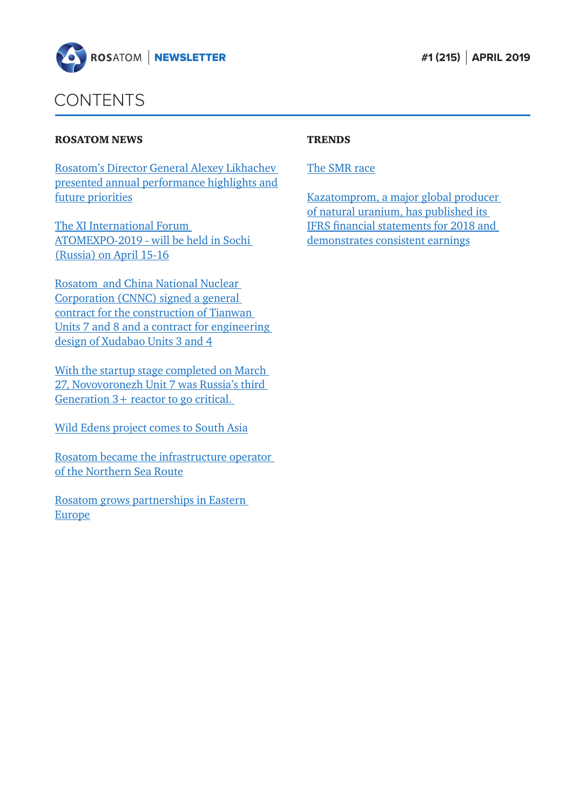

### CONTENTS

#### ROSATOM NEWS

Rosatom's Director General Alexey Likhachev [presented annual performance highlights and](#page-1-0)  future priorities

The XI International Forum [ATOMEXPO-2019 - will be held in Sochi](#page-2-0)  (Russia) on April 15-16

Rosatom and China National Nuclear Corporation (CNNC) signed a general contract for the construction of Tianwan [Units 7 and 8 and a contract for engineering](#page-4-0)  design of Xudabao Units 3 and 4

[With the startup stage completed on March](#page-5-0)  27, Novovoronezh Unit 7 was Russia's third Generation 3+ reactor to go critical.

[Wild Edens project comes to South Asia](#page-7-0)

[Rosatom became the infrastructure operator](#page-8-0)  of the Northern Sea Route

[Rosatom grows partnerships in Eastern](#page-9-0)  Europe

#### **TRENDS**

### [The SMR race](#page-11-0)

[Kazatomprom, a major global producer](#page-13-0)  of natural uranium, has published its IFRS financial statements for 2018 and demonstrates consistent earnings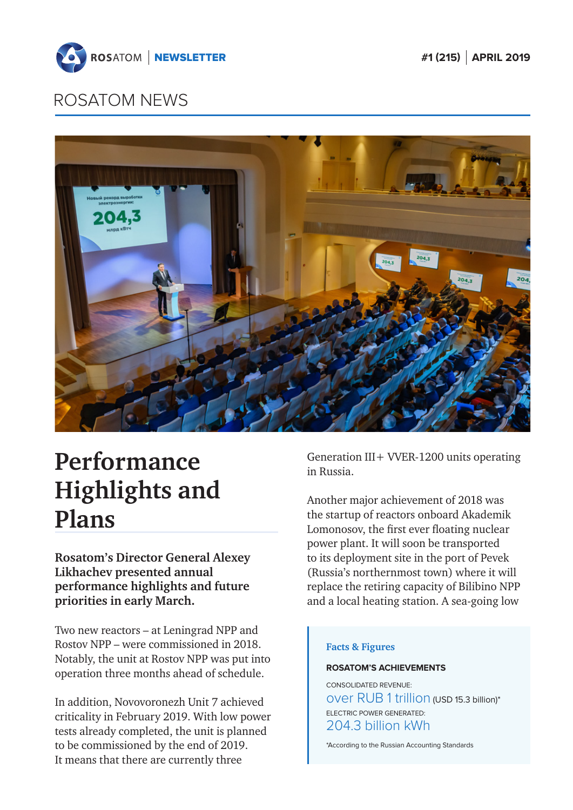<span id="page-1-0"></span>



# **Performance Highlights and Plans**

**Rosatom's Director General Alexey Likhachev presented annual performance highlights and future priorities in early March.**

Two new reactors – at Leningrad NPP and Rostov NPP – were commissioned in 2018. Notably, the unit at Rostov NPP was put into operation three months ahead of schedule.

In addition, Novovoronezh Unit 7 achieved criticality in February 2019. With low power tests already completed, the unit is planned to be commissioned by the end of 2019. It means that there are currently three

Generation III + VVER-1200 units operating in Russia.

Another major achievement of 2018 was the startup of reactors onboard Akademik Lomonosov, the first ever floating nuclear power plant. It will soon be transported to its deployment site in the port of Pevek (Russia's northernmost town) where it will replace the retiring capacity of Bilibino NPP and a local heating station. A sea-going low

#### **Facts & Figures**

#### **ROSATOM'S ACHIEVEMENTS**

CONSOLIDATED REVENUE: over RUB 1 trillion (USD 15.3 billion)\* ELECTRIC POWER GENERATED: 204.3 billion kWh

\*According to the Russian Accounting Standards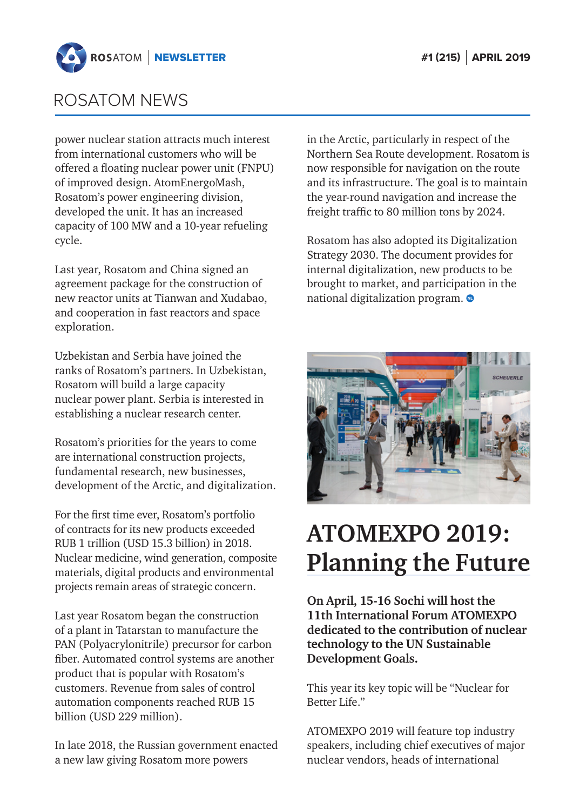<span id="page-2-0"></span>

power nuclear station attracts much interest from international customers who will be offered a floating nuclear power unit (FNPU) of improved design. AtomEnergoMash, Rosatom's power engineering division, developed the unit. It has an increased capacity of 100 MW and a 10-year refueling cycle.

Last year, Rosatom and China signed an agreement package for the construction of new reactor units at Tianwan and Xudabao, and cooperation in fast reactors and space exploration.

Uzbekistan and Serbia have joined the ranks of Rosatom's partners. In Uzbekistan, Rosatom will build a large capacity nuclear power plant. Serbia is interested in establishing a nuclear research center.

Rosatom's priorities for the years to come are international construction projects, fundamental research, new businesses, development of the Arctic, and digitalization.

For the first time ever, Rosatom's portfolio of contracts for its new products exceeded RUB 1 trillion (USD 15.3 billion) in 2018. Nuclear medicine, wind generation, composite materials, digital products and environmental projects remain areas of strategic concern.

Last year Rosatom began the construction of a plant in Tatarstan to manufacture the PAN (Polyacrylonitrile) precursor for carbon fiber. Automated control systems are another product that is popular with Rosatom's customers. Revenue from sales of control automation components reached RUB 15 billion (USD 229 million).

In late 2018, the Russian government enacted a new law giving Rosatom more powers

in the Arctic, particularly in respect of the Northern Sea Route development. Rosatom is now responsible for navigation on the route and its infrastructure. The goal is to maintain the year-round navigation and increase the freight traffic to 80 million tons by 2024.

Rosatom has also adopted its Digitalization Strategy 2030. The document provides for internal digitalization, new products to be brought to market, and participation in the national digitalization program.



# **ATOMEXPO 2019: Planning the Future**

**On April, 15-16 Sochi will host the 11th International Forum ATOMEXPO dedicated to the contribution of nuclear technology to the UN Sustainable Development Goals.**

This year its key topic will be "Nuclear for Better Life."

ATOMEXPO 2019 will feature top industry speakers, including chief executives of major nuclear vendors, heads of international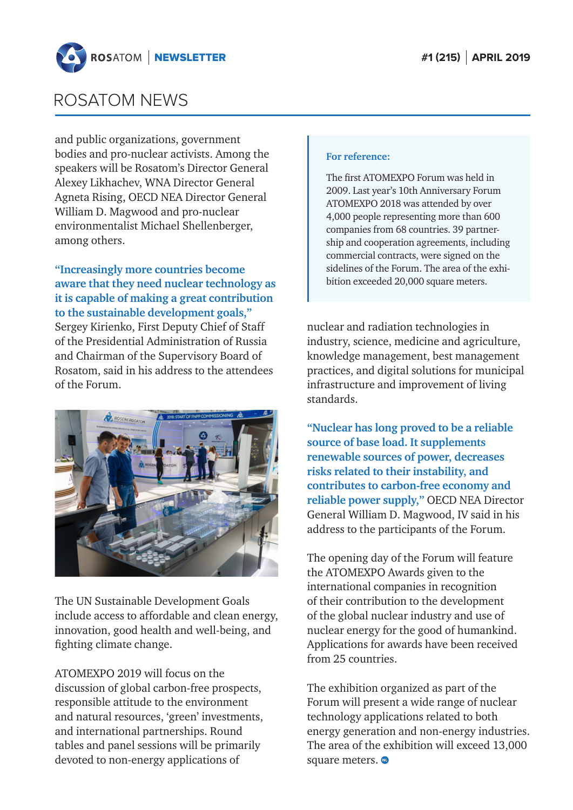

and public organizations, government bodies and pro-nuclear activists. Among the speakers will be Rosatom's Director General Alexey Likhachev, WNA Director General Agneta Rising, OECD NEA Director General William D. Magwood and pro-nuclear environmentalist Michael Shellenberger, among others.

### **"Increasingly more countries become aware that they need nuclear technology as it is capable of making a great contribution to the sustainable development goals,"**

Sergey Kirienko, First Deputy Chief of Staff of the Presidential Administration of Russia and Chairman of the Supervisory Board of Rosatom, said in his address to the attendees of the Forum.



The UN Sustainable Development Goals include access to affordable and clean energy, innovation, good health and well-being, and fighting climate change.

ATOMEXPO 2019 will focus on the discussion of global carbon-free prospects, responsible attitude to the environment and natural resources, 'green' investments, and international partnerships. Round tables and panel sessions will be primarily devoted to non-energy applications of

#### **For reference:**

The first ATOMEXPO Forum was held in 2009. Last year's 10th Anniversary Forum ATOMEXPO 2018 was attended by over 4,000 people representing more than 600 companies from 68 countries. 39 partnership and cooperation agreements, including commercial contracts, were signed on the sidelines of the Forum. The area of the exhibition exceeded 20,000 square meters.

nuclear and radiation technologies in industry, science, medicine and agriculture, knowledge management, best management practices, and digital solutions for municipal infrastructure and improvement of living standards.

**"Nuclear has long proved to be a reliable source of base load. It supplements renewable sources of power, decreases risks related to their instability, and contributes to carbon-free economy and reliable power supply,"** OECD NEA Director General William D. Magwood, IV said in his address to the participants of the Forum.

The opening day of the Forum will feature the ATOMEXPO Awards given to the international companies in recognition of their contribution to the development of the global nuclear industry and use of nuclear energy for the good of humankind. Applications for awards have been received from 25 countries.

The exhibition organized as part of the Forum will present a wide range of nuclear technology applications related to both energy generation and non-energy industries. The area of the exhibition will exceed 13,000 square meters.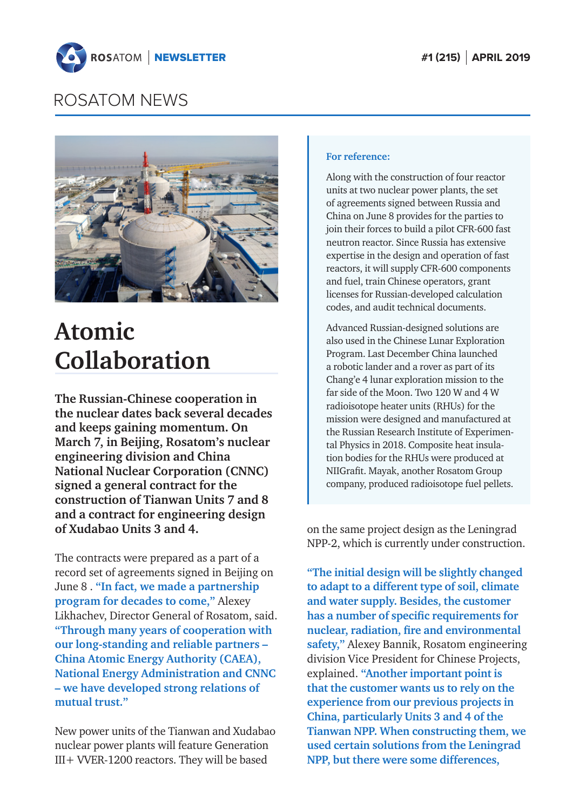<span id="page-4-0"></span>



## **Atomic Collaboration**

**The Russian-Chinese cooperation in the nuclear dates back several decades and keeps gaining momentum. On March 7, in Beijing, Rosatom's nuclear engineering division and China National Nuclear Corporation (CNNC) signed a general contract for the construction of Tianwan Units 7 and 8 and a contract for engineering design of Xudabao Units 3 and 4.**

The contracts were prepared as a part of a record set of agreements signed in Beijing on June 8 . **"In fact, we made a partnership program for decades to come,"** Alexey Likhachev, Director General of Rosatom, said. **"Through many years of cooperation with our long-standing and reliable partners – China Atomic Energy Authority (CAEA), National Energy Administration and CNNC – we have developed strong relations of mutual trust."**

New power units of the Tianwan and Xudabao nuclear power plants will feature Generation III+ VVER-1200 reactors. They will be based

#### **For reference:**

Along with the construction of four reactor units at two nuclear power plants, the set of agreements signed between Russia and China on June 8 provides for the parties to join their forces to build a pilot CFR-600 fast neutron reactor. Since Russia has extensive expertise in the design and operation of fast reactors, it will supply CFR-600 components and fuel, train Chinese operators, grant licenses for Russian-developed calculation codes, and audit technical documents.

Advanced Russian-designed solutions are also used in the Chinese Lunar Exploration Program. Last December China launched a robotic lander and a rover as part of its Chang'e 4 lunar exploration mission to the far side of the Moon. Two 120 W and 4 W radioisotope heater units (RHUs) for the mission were designed and manufactured at the Russian Research Institute of Experimental Physics in 2018. Composite heat insulation bodies for the RHUs were produced at NIIGrafit. Mayak, another Rosatom Group company, produced radioisotope fuel pellets.

on the same project design as the Leningrad NPP-2, which is currently under construction.

**"The initial design will be slightly changed to adapt to a different type of soil, climate and water supply. Besides, the customer has a number of specific requirements for nuclear, radiation, fire and environmental safety,"** Alexey Bannik, Rosatom engineering division Vice President for Chinese Projects, explained. **"Another important point is that the customer wants us to rely on the experience from our previous projects in China, particularly Units 3 and 4 of the Tianwan NPP. When constructing them, we used certain solutions from the Leningrad NPP, but there were some differences,**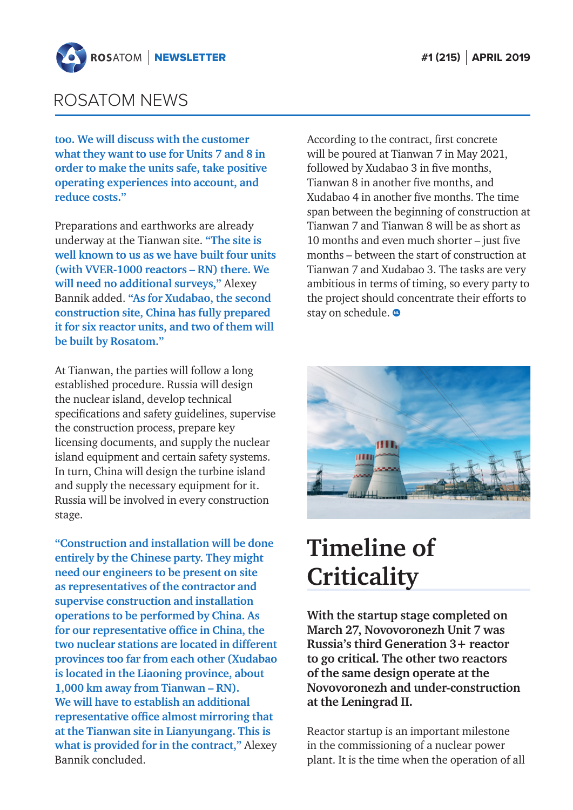<span id="page-5-0"></span>

**too. We will discuss with the customer what they want to use for Units 7 and 8 in order to make the units safe, take positive operating experiences into account, and reduce costs."**

Preparations and earthworks are already underway at the Tianwan site. **"The site is well known to us as we have built four units (with VVER-1000 reactors – RN) there. We will need no additional surveys,"** Alexey Bannik added. **"As for Xudabao, the second construction site, China has fully prepared it for six reactor units, and two of them will be built by Rosatom."**

At Tianwan, the parties will follow a long established procedure. Russia will design the nuclear island, develop technical specifications and safety guidelines, supervise the construction process, prepare key licensing documents, and supply the nuclear island equipment and certain safety systems. In turn, China will design the turbine island and supply the necessary equipment for it. Russia will be involved in every construction stage.

**"Construction and installation will be done entirely by the Chinese party. They might need our engineers to be present on site as representatives of the contractor and supervise construction and installation operations to be performed by China. As for our representative office in China, the two nuclear stations are located in different provinces too far from each other (Xudabao is located in the Liaoning province, about 1,000 km away from Tianwan – RN). We will have to establish an additional representative office almost mirroring that at the Tianwan site in Lianyungang. This is what is provided for in the contract,"** Alexey Bannik concluded.

According to the contract, first concrete will be poured at Tianwan 7 in May 2021, followed by Xudabao 3 in five months, Tianwan 8 in another five months, and Xudabao 4 in another five months. The time span between the beginning of construction at Tianwan 7 and Tianwan 8 will be as short as 10 months and even much shorter – just five months – between the start of construction at Tianwan 7 and Xudabao 3. The tasks are very ambitious in terms of timing, so every party to the project should concentrate their efforts to stay on schedule.  $\bullet$ 



# **Timeline of Criticality**

**With the startup stage completed on March 27, Novovoronezh Unit 7 was Russia's third Generation 3+ reactor to go critical. The other two reactors of the same design operate at the Novovoronezh and under-construction at the Leningrad II.**

Reactor startup is an important milestone in the commissioning of a nuclear power plant. It is the time when the operation of all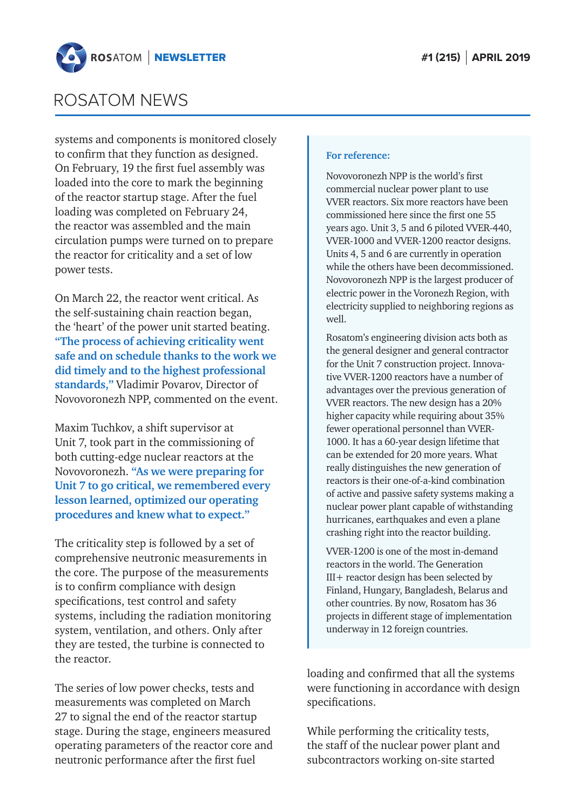

systems and components is monitored closely to confirm that they function as designed. On February, 19 the first fuel assembly was loaded into the core to mark the beginning of the reactor startup stage. After the fuel loading was completed on February 24, the reactor was assembled and the main circulation pumps were turned on to prepare the reactor for criticality and a set of low power tests.

On March 22, the reactor went critical. As the self-sustaining chain reaction began, the 'heart' of the power unit started beating. **"The process of achieving criticality went safe and on schedule thanks to the work we did timely and to the highest professional standards,"** Vladimir Povarov, Director of Novovoronezh NPP, commented on the event.

Maxim Tuchkov, a shift supervisor at Unit 7, took part in the commissioning of both cutting-edge nuclear reactors at the Novovoronezh. **"As we were preparing for Unit 7 to go critical, we remembered every lesson learned, optimized our operating procedures and knew what to expect."**

The criticality step is followed by a set of comprehensive neutronic measurements in the core. The purpose of the measurements is to confirm compliance with design specifications, test control and safety systems, including the radiation monitoring system, ventilation, and others. Only after they are tested, the turbine is connected to the reactor.

The series of low power checks, tests and measurements was completed on March 27 to signal the end of the reactor startup stage. During the stage, engineers measured operating parameters of the reactor core and neutronic performance after the first fuel

#### **For reference:**

Novovoronezh NPP is the world's first commercial nuclear power plant to use VVER reactors. Six more reactors have been commissioned here since the first one 55 years ago. Unit 3, 5 and 6 piloted VVER-440, VVER-1000 and VVER-1200 reactor designs. Units 4, 5 and 6 are currently in operation while the others have been decommissioned. Novovoronezh NPP is the largest producer of electric power in the Voronezh Region, with electricity supplied to neighboring regions as well.

Rosatom's engineering division acts both as the general designer and general contractor for the Unit 7 construction project. Innovative VVER-1200 reactors have a number of advantages over the previous generation of VVER reactors. The new design has a 20% higher capacity while requiring about 35% fewer operational personnel than VVER-1000. It has a 60-year design lifetime that can be extended for 20 more years. What really distinguishes the new generation of reactors is their one-of-a-kind combination of active and passive safety systems making a nuclear power plant capable of withstanding hurricanes, earthquakes and even a plane crashing right into the reactor building.

VVER-1200 is one of the most in-demand reactors in the world. The Generation III+ reactor design has been selected by Finland, Hungary, Bangladesh, Belarus and other countries. By now, Rosatom has 36 projects in different stage of implementation underway in 12 foreign countries.

loading and confirmed that all the systems were functioning in accordance with design specifications.

While performing the criticality tests, the staff of the nuclear power plant and subcontractors working on-site started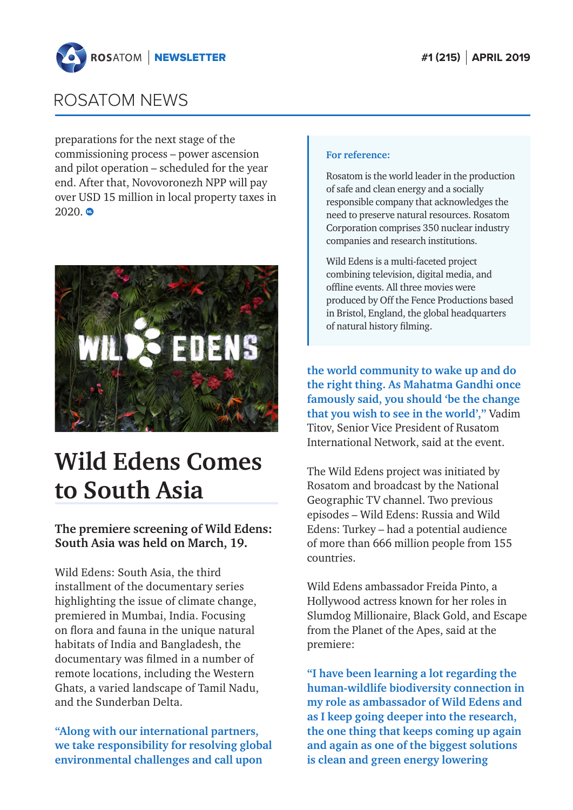<span id="page-7-0"></span>

preparations for the next stage of the commissioning process – power ascension and pilot operation – scheduled for the year end. After that, Novovoronezh NPP will pay over USD 15 million in local property taxes in  $2020.$   $\bullet$ 



## **Wild Edens Сomes to South Asia**

### **The premiere screening of Wild Edens: South Asia was held on March, 19.**

Wild Edens: South Asia, the third installment of the documentary series highlighting the issue of climate change, premiered in Mumbai, India. Focusing on flora and fauna in the unique natural habitats of India and Bangladesh, the documentary was filmed in a number of remote locations, including the Western Ghats, a varied landscape of Tamil Nadu, and the Sunderban Delta.

**"Along with our international partners, we take responsibility for resolving global environmental challenges and call upon** 

#### **For reference:**

Rosatom is the world leader in the production of safe and clean energy and a socially responsible company that acknowledges the need to preserve natural resources. Rosatom Corporation comprises 350 nuclear industry companies and research institutions.

Wild Edens is a multi-faceted project combining television, digital media, and offline events. All three movies were produced by Off the Fence Productions based in Bristol, England, the global headquarters of natural history filming.

**the world community to wake up and do the right thing. As Mahatma Gandhi once famously said, you should 'be the change that you wish to see in the world',"** Vadim Titov, Senior Vice President of Rusatom International Network, said at the event.

The Wild Edens project was initiated by Rosatom and broadcast by the National Geographic TV channel. Two previous episodes – Wild Edens: Russia and Wild Edens: Turkey – had a potential audience of more than 666 million people from 155 countries.

Wild Edens ambassador Freida Pinto, a Hollywood actress known for her roles in Slumdog Millionaire, Black Gold, and Escape from the Planet of the Apes, said at the premiere:

**"I have been learning a lot regarding the human-wildlife biodiversity connection in my role as ambassador of Wild Edens and as I keep going deeper into the research, the one thing that keeps coming up again and again as one of the biggest solutions is clean and green energy lowering**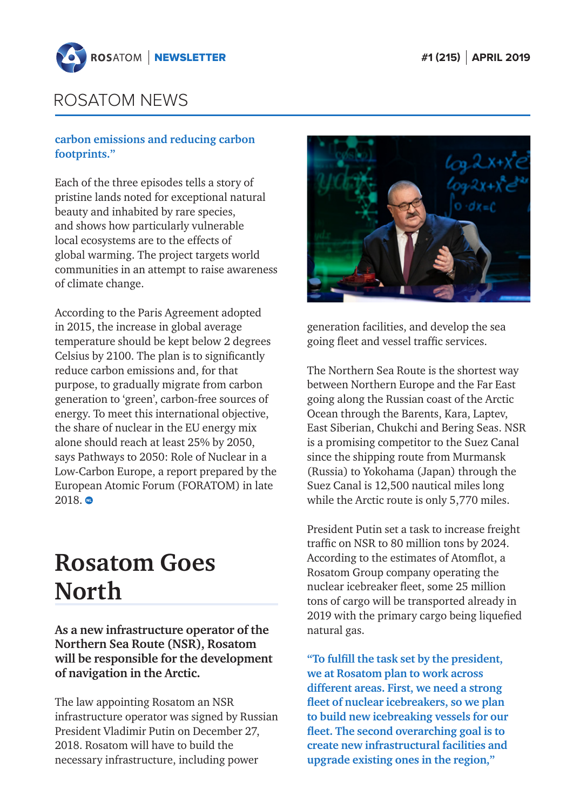<span id="page-8-0"></span>

### **carbon emissions and reducing carbon footprints."**

Each of the three episodes tells a story of pristine lands noted for exceptional natural beauty and inhabited by rare species, and shows how particularly vulnerable local ecosystems are to the effects of global warming. The project targets world communities in an attempt to raise awareness of climate change.

According to the Paris Agreement adopted in 2015, the increase in global average temperature should be kept below 2 degrees Celsius by 2100. The plan is to significantly reduce carbon emissions and, for that purpose, to gradually migrate from carbon generation to 'green', carbon-free sources of energy. To meet this international objective, the share of nuclear in the EU energy mix alone should reach at least 25% by 2050, says Pathways to 2050: Role of Nuclear in a Low-Carbon Europe, a report prepared by the European Atomic Forum (FORATOM) in late  $2018.$   $\bullet$ 

## **Rosatom Goes North**

**As a new infrastructure operator of the Northern Sea Route (NSR), Rosatom will be responsible for the development of navigation in the Arctic.** 

The law appointing Rosatom an NSR infrastructure operator was signed by Russian President Vladimir Putin on December 27, 2018. Rosatom will have to build the necessary infrastructure, including power



generation facilities, and develop the sea going fleet and vessel traffic services.

The Northern Sea Route is the shortest way between Northern Europe and the Far East going along the Russian coast of the Arctic Ocean through the Barents, Kara, Laptev, East Siberian, Chukchi and Bering Seas. NSR is a promising competitor to the Suez Canal since the shipping route from Murmansk (Russia) to Yokohama (Japan) through the Suez Canal is 12,500 nautical miles long while the Arctic route is only 5,770 miles.

President Putin set a task to increase freight traffic on NSR to 80 million tons by 2024. According to the estimates of Atomflot, a Rosatom Group company operating the nuclear icebreaker fleet, some 25 million tons of cargo will be transported already in 2019 with the primary cargo being liquefied natural gas.

**"To fulfill the task set by the president, we at Rosatom plan to work across different areas. First, we need a strong fleet of nuclear icebreakers, so we plan to build new icebreaking vessels for our fleet. The second overarching goal is to create new infrastructural facilities and upgrade existing ones in the region,"**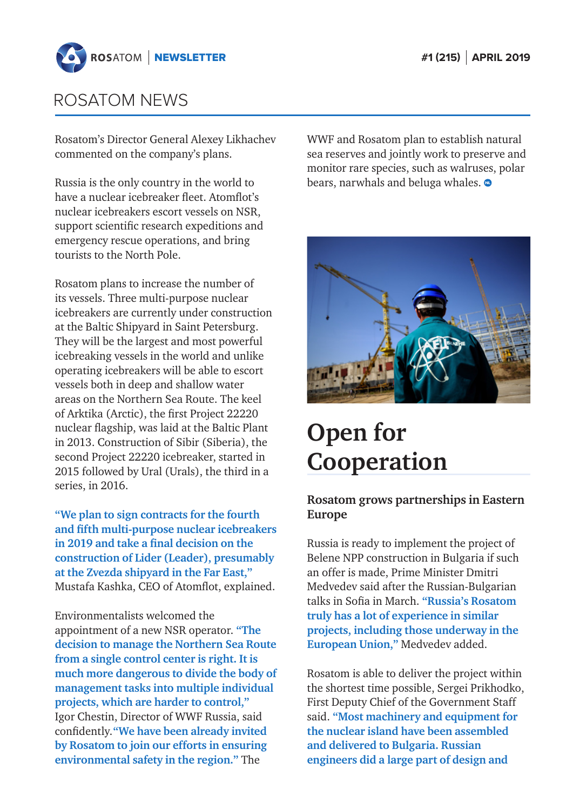<span id="page-9-0"></span>

Rosatom's Director General Alexey Likhachev commented on the company's plans.

Russia is the only country in the world to have a nuclear icebreaker fleet. Atomflot's nuclear icebreakers escort vessels on NSR, support scientific research expeditions and emergency rescue operations, and bring tourists to the North Pole.

Rosatom plans to increase the number of its vessels. Three multi-purpose nuclear icebreakers are currently under construction at the Baltic Shipyard in Saint Petersburg. They will be the largest and most powerful icebreaking vessels in the world and unlike operating icebreakers will be able to escort vessels both in deep and shallow water areas on the Northern Sea Route. The keel of Arktika (Arctic), the first Project 22220 nuclear flagship, was laid at the Baltic Plant in 2013. Construction of Sibir (Siberia), the second Project 22220 icebreaker, started in 2015 followed by Ural (Urals), the third in a series, in 2016.

**"We plan to sign contracts for the fourth and fifth multi-purpose nuclear icebreakers in 2019 and take a final decision on the construction of Lider (Leader), presumably at the Zvezda shipyard in the Far East,"** Mustafa Kashka, CEO of Atomflot, explained.

Environmentalists welcomed the appointment of a new NSR operator. **"The decision to manage the Northern Sea Route from a single control center is right. It is much more dangerous to divide the body of management tasks into multiple individual projects, which are harder to control,"**  Igor Chestin, Director of WWF Russia, said confidently.**"We have been already invited by Rosatom to join our efforts in ensuring environmental safety in the region."** The

WWF and Rosatom plan to establish natural sea reserves and jointly work to preserve and monitor rare species, such as walruses, polar bears, narwhals and beluga whales.  $\bullet$ 



# **Open for Cooperation**

### **Rosatom grows partnerships in Eastern Europe**

Russia is ready to implement the project of Belene NPP construction in Bulgaria if such an offer is made, Prime Minister Dmitri Medvedev said after the Russian-Bulgarian talks in Sofia in March. **"Russia's Rosatom truly has a lot of experience in similar projects, including those underway in the European Union,"** Medvedev added.

Rosatom is able to deliver the project within the shortest time possible, Sergei Prikhodko, First Deputy Chief of the Government Staff said. **"Most machinery and equipment for the nuclear island have been assembled and delivered to Bulgaria. Russian engineers did a large part of design and**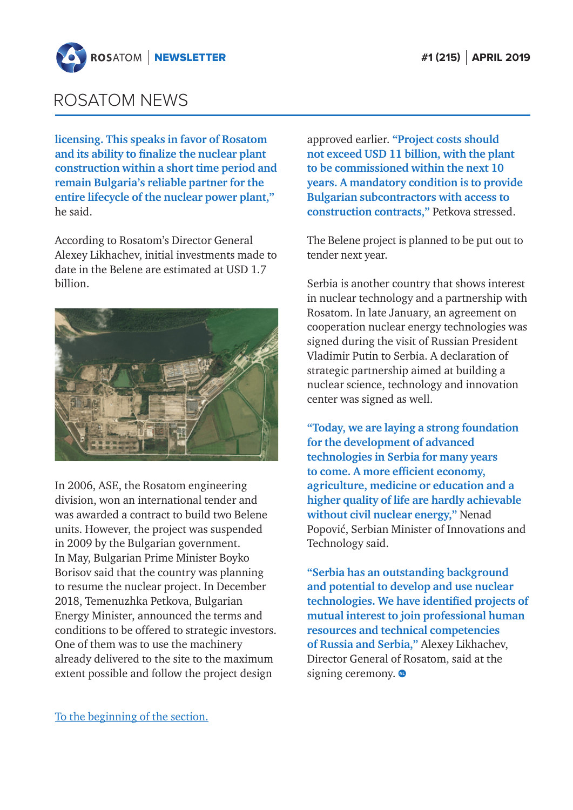

**licensing. This speaks in favor of Rosatom and its ability to finalize the nuclear plant construction within a short time period and remain Bulgaria's reliable partner for the entire lifecycle of the nuclear power plant,"** he said.

According to Rosatom's Director General Alexey Likhachev, initial investments made to date in the Belene are estimated at USD 1.7 billion.



In 2006, ASE, the Rosatom engineering division, won an international tender and was awarded a contract to build two Belene units. However, the project was suspended in 2009 by the Bulgarian government. In May, Bulgarian Prime Minister Boyko Borisov said that the country was planning to resume the nuclear project. In December 2018, Temenuzhka Petkova, Bulgarian Energy Minister, announced the terms and conditions to be offered to strategic investors. One of them was to use the machinery already delivered to the site to the maximum extent possible and follow the project design

approved earlier. **"Project costs should not exceed USD 11 billion, with the plant to be commissioned within the next 10 years. A mandatory condition is to provide Bulgarian subcontractors with access to construction contracts,"** Petkova stressed.

The Belene project is planned to be put out to tender next year.

Serbia is another country that shows interest in nuclear technology and a partnership with Rosatom. In late January, an agreement on cooperation nuclear energy technologies was signed during the visit of Russian President Vladimir Putin to Serbia. A declaration of strategic partnership aimed at building a nuclear science, technology and innovation center was signed as well.

**"Today, we are laying a strong foundation for the development of advanced technologies in Serbia for many years to come. A more efficient economy, agriculture, medicine or education and a higher quality of life are hardly achievable without civil nuclear energy,"** Nenad Popović, Serbian Minister of Innovations and Technology said.

**"Serbia has an outstanding background and potential to develop and use nuclear technologies. We have identified projects of mutual interest to join professional human resources and technical competencies of Russia and Serbia,"** Alexey Likhachev, Director General of Rosatom, said at the signing ceremony.  $\bullet$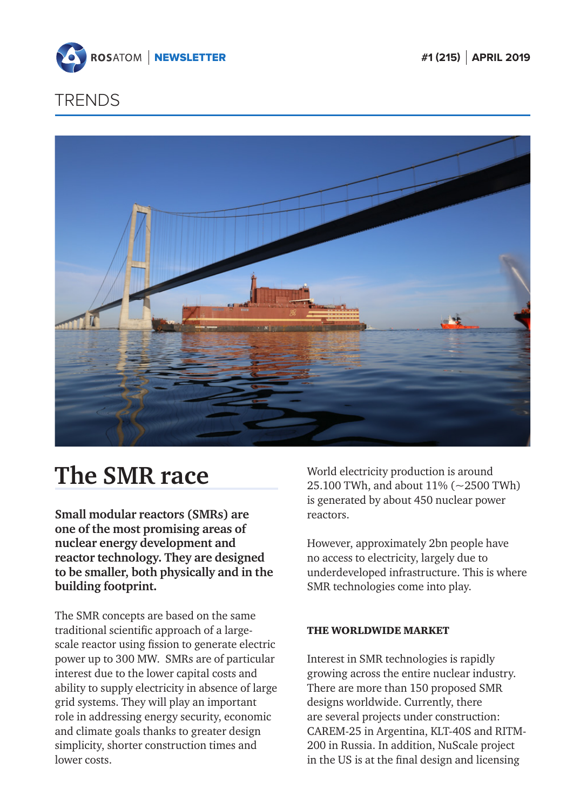<span id="page-11-0"></span>



## **The SMR race**

**Small modular reactors (SMRs) are one of the most promising areas of nuclear energy development and reactor technology. They are designed to be smaller, both physically and in the building footprint.** 

The SMR concepts are based on the same traditional scientific approach of a largescale reactor using fission to generate electric power up to 300 MW. SMRs are of particular interest due to the lower capital costs and ability to supply electricity in absence of large grid systems. They will play an important role in addressing energy security, economic and climate goals thanks to greater design simplicity, shorter construction times and lower costs.

World electricity production is around 25.100 TWh, and about 11% (~2500 TWh) is generated by about 450 nuclear power reactors.

However, approximately 2bn people have no access to electricity, largely due to underdeveloped infrastructure. This is where SMR technologies come into play.

### THE WORLDWIDE MARKET

Interest in SMR technologies is rapidly growing across the entire nuclear industry. There are more than 150 proposed SMR designs worldwide. Currently, there are several projects under construction: CAREM-25 in Argentina, KLT-40S and RITM-200 in Russia. In addition, NuScale project in the US is at the final design and licensing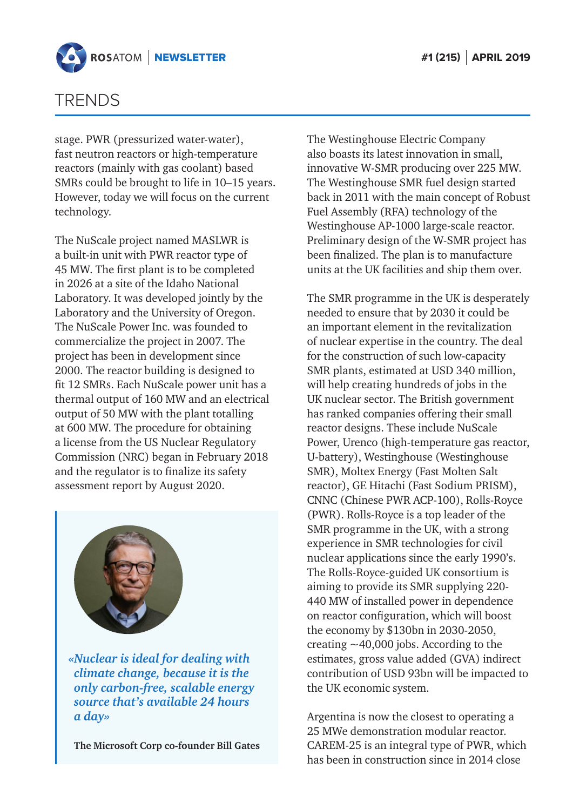

stage. PWR (pressurized water-water), fast neutron reactors or high-temperature reactors (mainly with gas coolant) based SMRs could be brought to life in 10–15 years. However, today we will focus on the current technology.

The NuScale project named MASLWR is a built-in unit with PWR reactor type of 45 MW. The first plant is to be completed in 2026 at a site of the Idaho National Laboratory. It was developed jointly by the Laboratory and the University of Oregon. The NuScale Power Inc. was founded to commercialize the project in 2007. The project has been in development since 2000. The reactor building is designed to fit 12 SMRs. Each NuScale power unit has a thermal output of 160 MW and an electrical output of 50 MW with the plant totalling at 600 MW. The procedure for obtaining a license from the US Nuclear Regulatory Commission (NRC) began in February 2018 and the regulator is to finalize its safety assessment report by August 2020.



*«Nuclear is ideal for dealing with climate change, because it is the only carbon-free, scalable energy source that's available 24 hours a day»*

**The Microsoft Corp co-founder Bill Gates**

The Westinghouse Electric Company also boasts its latest innovation in small, innovative W-SMR producing over 225 MW. The Westinghouse SMR fuel design started back in 2011 with the main concept of Robust Fuel Assembly (RFA) technology of the Westinghouse AP-1000 large-scale reactor. Preliminary design of the W-SMR project has been finalized. The plan is to manufacture units at the UK facilities and ship them over.

The SMR programme in the UK is desperately needed to ensure that by 2030 it could be an important element in the revitalization of nuclear expertise in the country. The deal for the construction of such low-capacity SMR plants, estimated at USD 340 million, will help creating hundreds of jobs in the UK nuclear sector. The British government has ranked companies offering their small reactor designs. These include NuScale Power, Urenco (high-temperature gas reactor, U-battery), Westinghouse (Westinghouse SMR), Moltex Energy (Fast Molten Salt reactor), GE Hitachi (Fast Sodium PRISM), CNNC (Chinese PWR ACP-100), Rolls-Royce (PWR). Rolls-Royce is a top leader of the SMR programme in the UK, with a strong experience in SMR technologies for civil nuclear applications since the early 1990's. The Rolls-Royce-guided UK consortium is aiming to provide its SMR supplying 220- 440 MW of installed power in dependence on reactor configuration, which will boost the economy by \$130bn in 2030-2050, creating  $\sim$  40,000 jobs. According to the estimates, gross value added (GVA) indirect contribution of USD 93bn will be impacted to the UK economic system.

Argentina is now the closest to operating a 25 MWe demonstration modular reactor. CAREM-25 is an integral type of PWR, which has been in construction since in 2014 close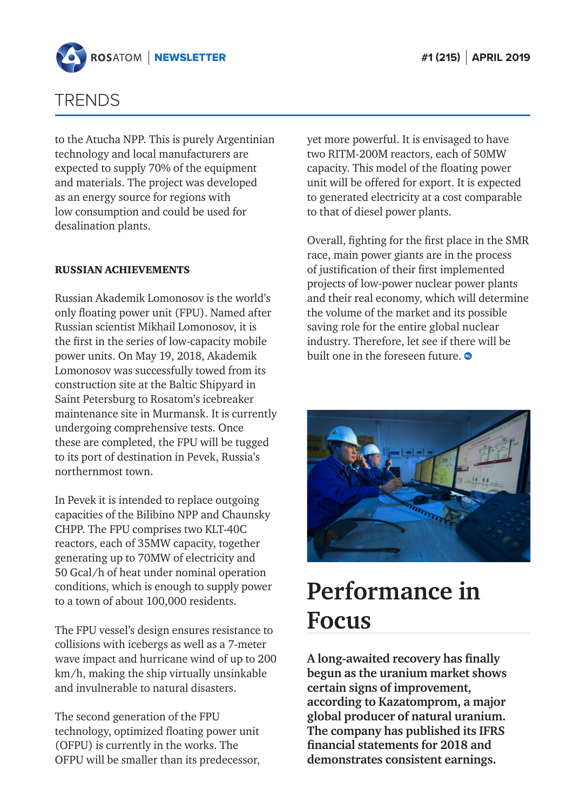<span id="page-13-0"></span>

to the Atucha NPP. This is purely Argentinian technology and local manufacturers are expected to supply 70% of the equipment and materials. The project was developed as an energy source for regions with low consumption and could be used for desalination plants.

### RUSSIAN ACHIEVEMENTS

Russian Akademik Lomonosov is the world's only floating power unit (FPU). Named after Russian scientist Mikhail Lomonosov, it is the first in the series of low-capacity mobile power units. On May 19, 2018, Akademik Lomonosov was successfully towed from its construction site at the Baltic Shipyard in Saint Petersburg to Rosatom's icebreaker maintenance site in Murmansk. It is currently undergoing comprehensive tests. Once these are completed, the FPU will be tugged to its port of destination in Pevek, Russia's northernmost town.

In Pevek it is intended to replace outgoing capacities of the Bilibino NPP and Chaunsky CHPP. The FPU comprises two KLT-40C reactors, each of 35MW capacity, together generating up to 70MW of electricity and 50 Gcal/h of heat under nominal operation conditions, which is enough to supply power to a town of about 100,000 residents.

The FPU vessel's design ensures resistance to collisions with icebergs as well as a 7-meter wave impact and hurricane wind of up to 200 km/h, making the ship virtually unsinkable and invulnerable to natural disasters.

The second generation of the FPU technology, optimized floating power unit (OFPU) is currently in the works. The OFPU will be smaller than its predecessor,

yet more powerful. It is envisaged to have two RITM-200M reactors, each of 50MW capacity. This model of the floating power unit will be offered for export. It is expected to generated electricity at a cost comparable to that of diesel power plants.

Overall, fighting for the first place in the SMR race, main power giants are in the process of justification of their first implemented projects of low-power nuclear power plants and their real economy, which will determine the volume of the market and its possible saving role for the entire global nuclear industry. Therefore, let see if there will be built one in the foreseen future.



## **Performance in Focus**

**A long-awaited recovery has finally begun as the uranium market shows certain signs of improvement, according to Kazatomprom, a major global producer of natural uranium. The company has published its IFRS financial statements for 2018 and demonstrates consistent earnings.**